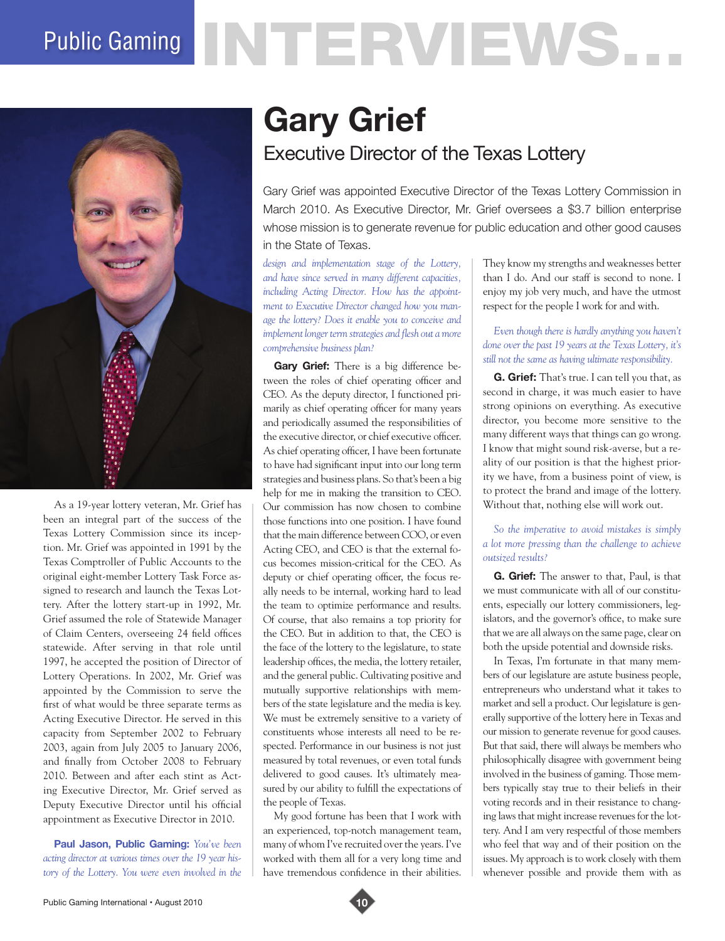# Public Gaming NTERVIEWS.



As a 19-year lottery veteran, Mr. Grief has been an integral part of the success of the Texas Lottery Commission since its inception. Mr. Grief was appointed in 1991 by the Texas Comptroller of Public Accounts to the original eight-member Lottery Task Force assigned to research and launch the Texas Lottery. After the lottery start-up in 1992, Mr. Grief assumed the role of Statewide Manager of Claim Centers, overseeing 24 field offices statewide. After serving in that role until 1997, he accepted the position of Director of Lottery Operations. In 2002, Mr. Grief was appointed by the Commission to serve the first of what would be three separate terms as Acting Executive Director. He served in this capacity from September 2002 to February 2003, again from July 2005 to January 2006, and finally from October 2008 to February 2010. Between and after each stint as Acting Executive Director, Mr. Grief served as Deputy Executive Director until his official appointment as Executive Director in 2010.

**Paul Jason, Public Gaming:** *You've been acting director at various times over the 19 year history of the Lottery. You were even involved in the* 

# **Gary Grief** Executive Director of the Texas Lottery

Gary Grief was appointed Executive Director of the Texas Lottery Commission in March 2010. As Executive Director, Mr. Grief oversees a \$3.7 billion enterprise whose mission is to generate revenue for public education and other good causes in the State of Texas.

*design and implementation stage of the Lottery, and have since served in many different capacities, including Acting Director. How has the appointment to Executive Director changed how you manage the lottery? Does it enable you to conceive and implement longer term strategies and flesh out a more comprehensive business plan?*

**Gary Grief:** There is a big difference between the roles of chief operating officer and CEO. As the deputy director, I functioned primarily as chief operating officer for many years and periodically assumed the responsibilities of the executive director, or chief executive officer. As chief operating officer, I have been fortunate to have had significant input into our long term strategies and business plans. So that's been a big help for me in making the transition to CEO. Our commission has now chosen to combine those functions into one position. I have found that the main difference between COO, or even Acting CEO, and CEO is that the external focus becomes mission-critical for the CEO. As deputy or chief operating officer, the focus really needs to be internal, working hard to lead the team to optimize performance and results. Of course, that also remains a top priority for the CEO. But in addition to that, the CEO is the face of the lottery to the legislature, to state leadership offices, the media, the lottery retailer, and the general public. Cultivating positive and mutually supportive relationships with members of the state legislature and the media is key. We must be extremely sensitive to a variety of constituents whose interests all need to be respected. Performance in our business is not just measured by total revenues, or even total funds delivered to good causes. It's ultimately measured by our ability to fulfill the expectations of the people of Texas.

My good fortune has been that I work with an experienced, top-notch management team, many of whom I've recruited over the years. I've worked with them all for a very long time and have tremendous confidence in their abilities.

They know my strengths and weaknesses better than I do. And our staff is second to none. I enjoy my job very much, and have the utmost respect for the people I work for and with.

*Even though there is hardly anything you haven't done over the past 19 years at the Texas Lottery, it's still not the same as having ultimate responsibility.* 

**G. Grief:** That's true. I can tell you that, as second in charge, it was much easier to have strong opinions on everything. As executive director, you become more sensitive to the many different ways that things can go wrong. I know that might sound risk-averse, but a reality of our position is that the highest priority we have, from a business point of view, is to protect the brand and image of the lottery. Without that, nothing else will work out.

*So the imperative to avoid mistakes is simply a lot more pressing than the challenge to achieve outsized results?*

**G. Grief:** The answer to that, Paul, is that we must communicate with all of our constituents, especially our lottery commissioners, legislators, and the governor's office, to make sure that we are all always on the same page, clear on both the upside potential and downside risks.

In Texas, I'm fortunate in that many members of our legislature are astute business people, entrepreneurs who understand what it takes to market and sell a product. Our legislature is generally supportive of the lottery here in Texas and our mission to generate revenue for good causes. But that said, there will always be members who philosophically disagree with government being involved in the business of gaming. Those members typically stay true to their beliefs in their voting records and in their resistance to changing laws that might increase revenues for the lottery. And I am very respectful of those members who feel that way and of their position on the issues. My approach is to work closely with them whenever possible and provide them with as

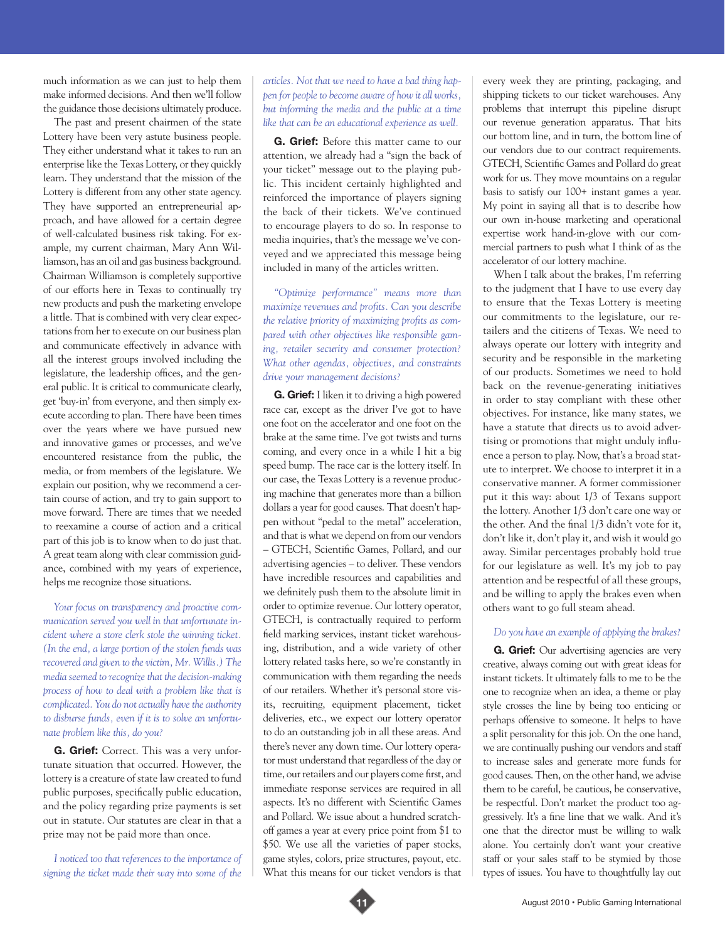much information as we can just to help them make informed decisions. And then we'll follow the guidance those decisions ultimately produce.

The past and present chairmen of the state Lottery have been very astute business people. They either understand what it takes to run an enterprise like the Texas Lottery, or they quickly learn. They understand that the mission of the Lottery is different from any other state agency. They have supported an entrepreneurial approach, and have allowed for a certain degree of well-calculated business risk taking. For example, my current chairman, Mary Ann Williamson, has an oil and gas business background. Chairman Williamson is completely supportive of our efforts here in Texas to continually try new products and push the marketing envelope a little. That is combined with very clear expectations from her to execute on our business plan and communicate effectively in advance with all the interest groups involved including the legislature, the leadership offices, and the general public. It is critical to communicate clearly, get 'buy-in' from everyone, and then simply execute according to plan. There have been times over the years where we have pursued new and innovative games or processes, and we've encountered resistance from the public, the media, or from members of the legislature. We explain our position, why we recommend a certain course of action, and try to gain support to move forward. There are times that we needed to reexamine a course of action and a critical part of this job is to know when to do just that. A great team along with clear commission guidance, combined with my years of experience, helps me recognize those situations.

*Your focus on transparency and proactive communication served you well in that unfortunate incident where a store clerk stole the winning ticket. (In the end, a large portion of the stolen funds was recovered and given to the victim, Mr. Willis.) The media seemed to recognize that the decision-making process of how to deal with a problem like that is complicated. You do not actually have the authority to disburse funds, even if it is to solve an unfortunate problem like this, do you?* 

**G. Grief:** Correct. This was a very unfortunate situation that occurred. However, the lottery is a creature of state law created to fund public purposes, specifically public education, and the policy regarding prize payments is set out in statute. Our statutes are clear in that a prize may not be paid more than once.

*I noticed too that references to the importance of signing the ticket made their way into some of the* 

*articles. Not that we need to have a bad thing happen for people to become aware of how it all works, but informing the media and the public at a time like that can be an educational experience as well.* 

**G. Grief:** Before this matter came to our attention, we already had a "sign the back of your ticket" message out to the playing public. This incident certainly highlighted and reinforced the importance of players signing the back of their tickets. We've continued to encourage players to do so. In response to media inquiries, that's the message we've conveyed and we appreciated this message being included in many of the articles written.

*"Optimize performance" means more than maximize revenues and profits. Can you describe the relative priority of maximizing profits as compared with other objectives like responsible gaming, retailer security and consumer protection? What other agendas, objectives, and constraints drive your management decisions?*

**G. Grief:** I liken it to driving a high powered race car, except as the driver I've got to have one foot on the accelerator and one foot on the brake at the same time. I've got twists and turns coming, and every once in a while I hit a big speed bump. The race car is the lottery itself. In our case, the Texas Lottery is a revenue producing machine that generates more than a billion dollars a year for good causes. That doesn't happen without "pedal to the metal" acceleration, and that is what we depend on from our vendors – GTECH, Scientific Games, Pollard, and our advertising agencies – to deliver. These vendors have incredible resources and capabilities and we definitely push them to the absolute limit in order to optimize revenue. Our lottery operator, GTECH, is contractually required to perform field marking services, instant ticket warehousing, distribution, and a wide variety of other lottery related tasks here, so we're constantly in communication with them regarding the needs of our retailers. Whether it's personal store visits, recruiting, equipment placement, ticket deliveries, etc., we expect our lottery operator to do an outstanding job in all these areas. And there's never any down time. Our lottery operator must understand that regardless of the day or time, our retailers and our players come first, and immediate response services are required in all aspects. It's no different with Scientific Games and Pollard. We issue about a hundred scratchoff games a year at every price point from \$1 to \$50. We use all the varieties of paper stocks, game styles, colors, prize structures, payout, etc. What this means for our ticket vendors is that

every week they are printing, packaging, and shipping tickets to our ticket warehouses. Any problems that interrupt this pipeline disrupt our revenue generation apparatus. That hits our bottom line, and in turn, the bottom line of our vendors due to our contract requirements. GTECH, Scientific Games and Pollard do great work for us. They move mountains on a regular basis to satisfy our 100+ instant games a year. My point in saying all that is to describe how our own in-house marketing and operational expertise work hand-in-glove with our commercial partners to push what I think of as the accelerator of our lottery machine.

When I talk about the brakes, I'm referring to the judgment that I have to use every day to ensure that the Texas Lottery is meeting our commitments to the legislature, our retailers and the citizens of Texas. We need to always operate our lottery with integrity and security and be responsible in the marketing of our products. Sometimes we need to hold back on the revenue-generating initiatives in order to stay compliant with these other objectives. For instance, like many states, we have a statute that directs us to avoid advertising or promotions that might unduly influence a person to play. Now, that's a broad statute to interpret. We choose to interpret it in a conservative manner. A former commissioner put it this way: about 1/3 of Texans support the lottery. Another 1/3 don't care one way or the other. And the final 1/3 didn't vote for it, don't like it, don't play it, and wish it would go away. Similar percentages probably hold true for our legislature as well. It's my job to pay attention and be respectful of all these groups, and be willing to apply the brakes even when others want to go full steam ahead.

### *Do you have an example of applying the brakes?*

**G. Grief:** Our advertising agencies are very creative, always coming out with great ideas for instant tickets. It ultimately falls to me to be the one to recognize when an idea, a theme or play style crosses the line by being too enticing or perhaps offensive to someone. It helps to have a split personality for this job. On the one hand, we are continually pushing our vendors and staff to increase sales and generate more funds for good causes. Then, on the other hand, we advise them to be careful, be cautious, be conservative, be respectful. Don't market the product too aggressively. It's a fine line that we walk. And it's one that the director must be willing to walk alone. You certainly don't want your creative staff or your sales staff to be stymied by those types of issues. You have to thoughtfully lay out

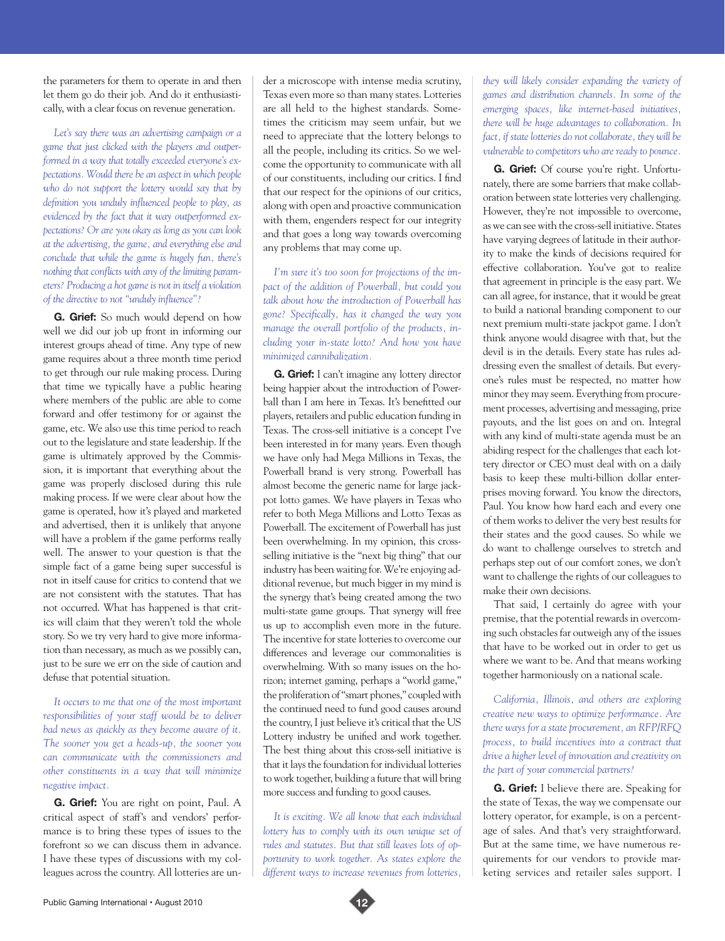the parameters for them to operate in and then let them go do their job. And do it enthusiastically, with a clear focus on revenue generation.

*Let's say there was an advertising campaign or a game that just clicked with the players and outperformed in a way that totally exceeded everyone's expectations. Would there be an aspect in which people who do not support the lottery would say that by definition you unduly influenced people to play, as evidenced by the fact that it way outperformed expectations? Or are you okay as long as you can look at the advertising, the game, and everything else and conclude that while the game is hugely fun, there's nothing that conflicts with any of the limiting parameters? Producing a hot game is not in itself a violation of the directive to not "unduly influence"?* 

**G. Grief:** So much would depend on how well we did our job up front in informing our interest groups ahead of time. Any type of new game requires about a three month time period to get through our rule making process. During that time we typically have a public hearing where members of the public are able to come forward and offer testimony for or against the game, etc. We also use this time period to reach out to the legislature and state leadership. If the game is ultimately approved by the Commission, it is important that everything about the game was properly disclosed during this rule making process. If we were clear about how the game is operated, how it's played and marketed and advertised, then it is unlikely that anyone will have a problem if the game performs really well. The answer to your question is that the simple fact of a game being super successful is not in itself cause for critics to contend that we are not consistent with the statutes. That has not occurred. What has happened is that critics will claim that they weren't told the whole story. So we try very hard to give more information than necessary, as much as we possibly can, just to be sure we err on the side of caution and defuse that potential situation.

*It occurs to me that one of the most important responsibilities of your staff would be to deliver bad news as quickly as they become aware of it. The sooner you get a heads-up, the sooner you can communicate with the commissioners and other constituents in a way that will minimize negative impact.*

**G. Grief:** You are right on point, Paul. A critical aspect of staff's and vendors' performance is to bring these types of issues to the forefront so we can discuss them in advance. I have these types of discussions with my colleagues across the country. All lotteries are under a microscope with intense media scrutiny, Texas even more so than many states. Lotteries are all held to the highest standards. Sometimes the criticism may seem unfair, but we need to appreciate that the lottery belongs to all the people, including its critics. So we welcome the opportunity to communicate with all of our constituents, including our critics. I find that our respect for the opinions of our critics, along with open and proactive communication with them, engenders respect for our integrity and that goes a long way towards overcoming any problems that may come up.

*I'm sure it's too soon for projections of the impact of the addition of Powerball, but could you talk about how the introduction of Powerball has gone? Specifically, has it changed the way you manage the overall portfolio of the products, including your in-state lotto? And how you have minimized cannibalization.*

**G. Grief:** I can't imagine any lottery director being happier about the introduction of Powerball than I am here in Texas. It's benefitted our players, retailers and public education funding in Texas. The cross-sell initiative is a concept I've been interested in for many years. Even though we have only had Mega Millions in Texas, the Powerball brand is very strong. Powerball has almost become the generic name for large jackpot lotto games. We have players in Texas who refer to both Mega Millions and Lotto Texas as Powerball. The excitement of Powerball has just been overwhelming. In my opinion, this crossselling initiative is the "next big thing" that our industry has been waiting for. We're enjoying additional revenue, but much bigger in my mind is the synergy that's being created among the two multi-state game groups. That synergy will free us up to accomplish even more in the future. The incentive for state lotteries to overcome our differences and leverage our commonalities is overwhelming. With so many issues on the horizon; internet gaming, perhaps a "world game," the proliferation of "smart phones," coupled with the continued need to fund good causes around the country, I just believe it's critical that the US Lottery industry be unified and work together. The best thing about this cross-sell initiative is that it lays the foundation for individual lotteries to work together, building a future that will bring more success and funding to good causes.

*It is exciting. We all know that each individual lottery has to comply with its own unique set of rules and statutes. But that still leaves lots of opportunity to work together. As states explore the different ways to increase revenues from lotteries,* 

*they will likely consider expanding the variety of games and distribution channels. In some of the emerging spaces, like internet-based initiatives, there will be huge advantages to collaboration. In fact, if state lotteries do not collaborate, they will be vulnerable to competitors who are ready to pounce.* 

**G. Grief:** Of course you're right. Unfortunately, there are some barriers that make collaboration between state lotteries very challenging. However, they're not impossible to overcome, as we can see with the cross-sell initiative. States have varying degrees of latitude in their authority to make the kinds of decisions required for effective collaboration. You've got to realize that agreement in principle is the easy part. We can all agree, for instance, that it would be great to build a national branding component to our next premium multi-state jackpot game. I don't think anyone would disagree with that, but the devil is in the details. Every state has rules addressing even the smallest of details. But everyone's rules must be respected, no matter how minor they may seem. Everything from procurement processes, advertising and messaging, prize payouts, and the list goes on and on. Integral with any kind of multi-state agenda must be an abiding respect for the challenges that each lottery director or CEO must deal with on a daily basis to keep these multi-billion dollar enterprises moving forward. You know the directors, Paul. You know how hard each and every one of them works to deliver the very best results for their states and the good causes. So while we do want to challenge ourselves to stretch and perhaps step out of our comfort zones, we don't want to challenge the rights of our colleagues to make their own decisions.

That said, I certainly do agree with your premise, that the potential rewards in overcoming such obstacles far outweigh any of the issues that have to be worked out in order to get us where we want to be. And that means working together harmoniously on a national scale.

*California, Illinois, and others are exploring creative new ways to optimize performance. Are there ways for a state procurement, an RFP/RFQ process, to build incentives into a contract that drive a higher level of innovation and creativity on the part of your commercial partners?*

**G. Grief:** I believe there are. Speaking for the state of Texas, the way we compensate our lottery operator, for example, is on a percentage of sales. And that's very straightforward. But at the same time, we have numerous requirements for our vendors to provide marketing services and retailer sales support. I